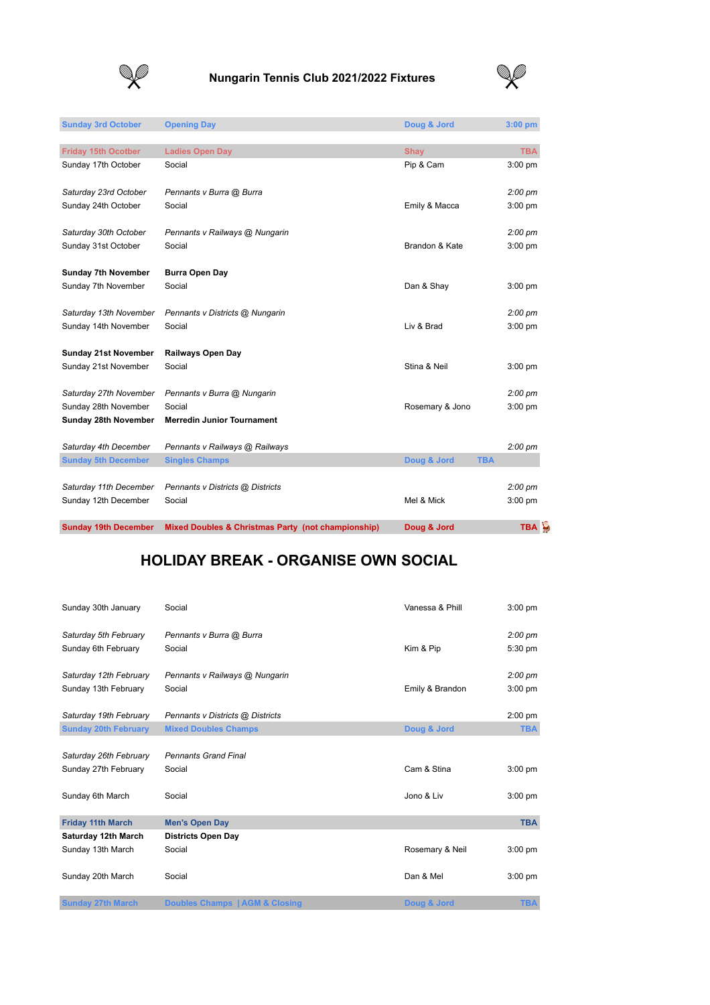

## **Nungarin Tennis Club 2021/2022 Fixtures**



| <b>Burra Open Day</b><br>Pennants v Districts @ Nungarin<br><b>Railways Open Day</b><br>Pennants v Burra @ Nungarin<br><b>Merredin Junior Tournament</b><br>Pennants v Railways @ Railways<br><b>Singles Champs</b><br>Pennants v Districts @ Districts | Brandon & Kate<br>Dan & Shay<br>Liv & Brad<br>Stina & Neil<br>Rosemary & Jono<br>Doug & Jord<br><b>TBA</b><br>Mel & Mick | $2:00~\text{pm}$<br>$3:00$ pm<br>$3:00$ pm<br>$2:00~\text{pm}$<br>$3:00$ pm<br>$3:00$ pm<br>$2:00~\text{pm}$<br>$3:00$ pm<br>$2:00~\text{pm}$<br>$2:00~\text{pm}$<br>$3:00$ pm |
|---------------------------------------------------------------------------------------------------------------------------------------------------------------------------------------------------------------------------------------------------------|--------------------------------------------------------------------------------------------------------------------------|--------------------------------------------------------------------------------------------------------------------------------------------------------------------------------|
|                                                                                                                                                                                                                                                         |                                                                                                                          |                                                                                                                                                                                |
|                                                                                                                                                                                                                                                         |                                                                                                                          |                                                                                                                                                                                |
|                                                                                                                                                                                                                                                         |                                                                                                                          |                                                                                                                                                                                |
|                                                                                                                                                                                                                                                         |                                                                                                                          |                                                                                                                                                                                |
|                                                                                                                                                                                                                                                         |                                                                                                                          |                                                                                                                                                                                |
|                                                                                                                                                                                                                                                         |                                                                                                                          |                                                                                                                                                                                |
|                                                                                                                                                                                                                                                         |                                                                                                                          |                                                                                                                                                                                |
|                                                                                                                                                                                                                                                         |                                                                                                                          |                                                                                                                                                                                |
|                                                                                                                                                                                                                                                         |                                                                                                                          |                                                                                                                                                                                |
|                                                                                                                                                                                                                                                         |                                                                                                                          |                                                                                                                                                                                |
|                                                                                                                                                                                                                                                         |                                                                                                                          |                                                                                                                                                                                |
|                                                                                                                                                                                                                                                         |                                                                                                                          |                                                                                                                                                                                |
|                                                                                                                                                                                                                                                         |                                                                                                                          |                                                                                                                                                                                |
|                                                                                                                                                                                                                                                         |                                                                                                                          |                                                                                                                                                                                |
|                                                                                                                                                                                                                                                         |                                                                                                                          |                                                                                                                                                                                |
| Pennants v Railways @ Nungarin                                                                                                                                                                                                                          |                                                                                                                          |                                                                                                                                                                                |
|                                                                                                                                                                                                                                                         |                                                                                                                          | $3:00$ pm                                                                                                                                                                      |
| Pennants v Burra @ Burra                                                                                                                                                                                                                                |                                                                                                                          | $2:00~\text{pm}$                                                                                                                                                               |
|                                                                                                                                                                                                                                                         |                                                                                                                          |                                                                                                                                                                                |
|                                                                                                                                                                                                                                                         |                                                                                                                          | 3:00 pm                                                                                                                                                                        |
|                                                                                                                                                                                                                                                         |                                                                                                                          | <b>TBA</b>                                                                                                                                                                     |
| <b>Opening Day</b>                                                                                                                                                                                                                                      | Doug & Jord                                                                                                              | $3:00$ pm                                                                                                                                                                      |
|                                                                                                                                                                                                                                                         | <b>Ladies Open Day</b>                                                                                                   | <b>Shay</b><br>Pip & Cam<br>Emily & Macca                                                                                                                                      |

## **HOLIDAY BREAK - ORGANISE OWN SOCIAL**

| Sunday 30th January         | Social                           | Vanessa & Phill | $3:00$ pm         |
|-----------------------------|----------------------------------|-----------------|-------------------|
| Saturday 5th February       | Pennants v Burra @ Burra         |                 | $2:00~\text{pm}$  |
| Sunday 6th February         | Social                           | Kim & Pip       | 5:30 pm           |
| Saturday 12th February      | Pennants v Railways @ Nungarin   |                 | $2:00 \text{ pm}$ |
| Sunday 13th February        | Social                           | Emily & Brandon | $3:00$ pm         |
| Saturday 19th February      | Pennants v Districts @ Districts |                 | $2:00$ pm         |
| <b>Sunday 20th February</b> | <b>Mixed Doubles Champs</b>      | Doug & Jord     | <b>TBA</b>        |
|                             |                                  |                 |                   |
| Saturday 26th February      | <b>Pennants Grand Final</b>      |                 |                   |
| Sunday 27th February        | Social                           | Cam & Stina     | $3:00$ pm         |
| Sunday 6th March            | Social                           | Jono & Liv      | $3:00$ pm         |
| <b>Friday 11th March</b>    | <b>Men's Open Day</b>            |                 | <b>TBA</b>        |
| Saturday 12th March         | <b>Districts Open Day</b>        |                 |                   |
| Sunday 13th March           | Social                           | Rosemary & Neil | $3:00$ pm         |
| Sunday 20th March           | Social                           | Dan & Mel       | $3:00$ pm         |
| <b>Sunday 27th March</b>    | Doubles Champs   AGM & Closing   | Doug & Jord     | <b>TBA</b>        |